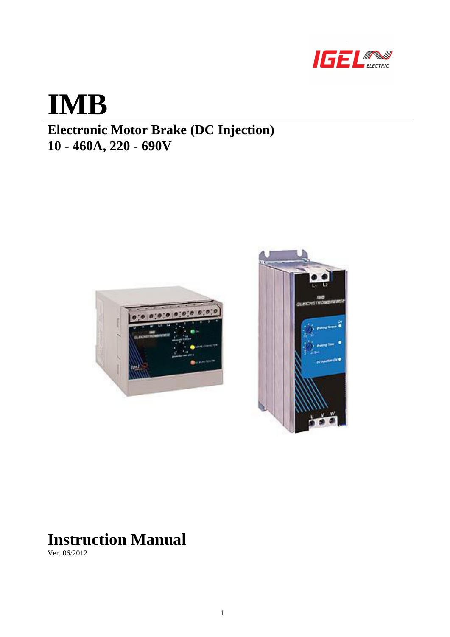

# **IMB**

## **Electronic Motor Brake (DC Injection) 10 - 460A, 220 - 690V**





## **Instruction Manual**

Ver. 06/2012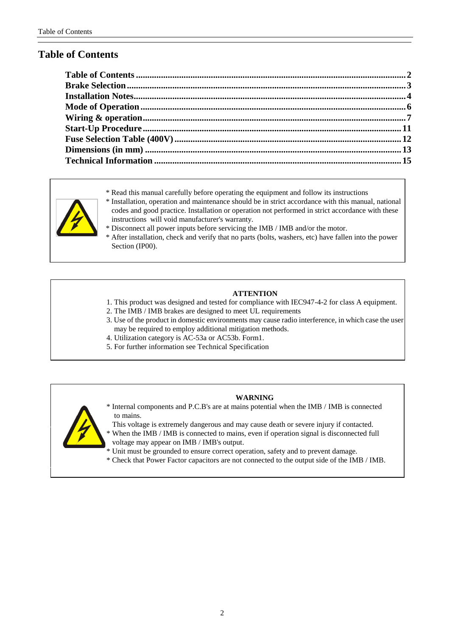## <span id="page-1-0"></span>**Table of Contents**

\* Read this manual carefully before operating the equipment and follow its instructions



- \* Disconnect all power inputs before servicing the IMB / IMB and/or the motor.
- \* After installation, check and verify that no parts (bolts, washers, etc) have fallen into the power Section (IP00).

#### **ATTENTION**

- 1. This product was designed and tested for compliance with IEC947-4-2 for class A equipment.
- 2. The IMB / IMB brakes are designed to meet UL requirements
- 3. Use of the product in domestic environments may cause radio interference, in which case the user may be required to employ additional mitigation methods.
- 4. Utilization category is AC-53a or AC53b. Form1.
- 5. For further information see Technical Specification

#### **WARNING**



- \* Internal components and P.C.B's are at mains potential when the IMB / IMB is connected to mains.
- This voltage is extremely dangerous and may cause death or severe injury if contacted.
- \* When the IMB / IMB is connected to mains, even if operation signal is disconnected full voltage may appear on IMB / IMB's output.
- \* Unit must be grounded to ensure correct operation, safety and to prevent damage.
- \* Check that Power Factor capacitors are not connected to the output side of the IMB / IMB.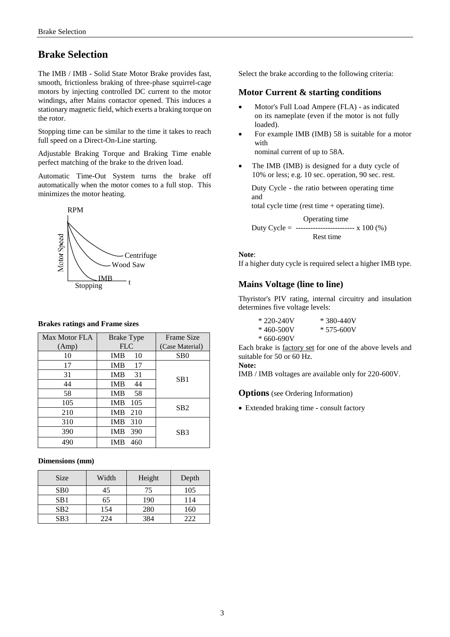## <span id="page-2-0"></span>**Brake Selection**

The IMB / IMB - Solid State Motor Brake provides fast, smooth, frictionless braking of three-phase squirrel-cage motors by injecting controlled DC current to the motor windings, after Mains contactor opened. This induces a stationary magnetic field, which exerts a braking torque on the rotor.

Stopping time can be similar to the time it takes to reach full speed on a Direct-On-Line starting.

Adjustable Braking Torque and Braking Time enable perfect matching of the brake to the driven load.

Automatic Time-Out System turns the brake off automatically when the motor comes to a full stop. This minimizes the motor heating.



#### **Brakes ratings and Frame sizes**

| Max Motor FLA | <b>Brake Type</b> | Frame Size       |  |  |  |
|---------------|-------------------|------------------|--|--|--|
| (Amp)         | <b>FLC</b>        | (Case Material)  |  |  |  |
| 10            | <b>IMB</b><br>10  | S <sub>B</sub> 0 |  |  |  |
| 17            | <b>IMB</b><br>17  |                  |  |  |  |
| 31            | <b>IMB</b><br>31  |                  |  |  |  |
| 44            | 44<br><b>IMB</b>  | SB <sub>1</sub>  |  |  |  |
| 58            | 58<br><b>IMB</b>  |                  |  |  |  |
| 105           | <b>IMB</b><br>105 | S <sub>B</sub> 2 |  |  |  |
| 210           | <b>IMB</b><br>210 |                  |  |  |  |
| 310           | <b>IMB</b><br>310 |                  |  |  |  |
| 390           | 390<br><b>IMB</b> | SB <sub>3</sub>  |  |  |  |
| 490           | IMB<br>460        |                  |  |  |  |

#### **Dimensions (mm)**

| Size             | Width | Height | Depth |
|------------------|-------|--------|-------|
| S <sub>B</sub> 0 | 45    | 75     | 105   |
| SB <sub>1</sub>  | 65    | 190    | 114   |
| SB2              | 154   | 280    | 160   |
| SB <sub>3</sub>  | 224   | 384    | າາາ   |

Select the brake according to the following criteria:

#### **Motor Current & starting conditions**

- Motor's Full Load Ampere (FLA) as indicated on its nameplate (even if the motor is not fully loaded).
- For example IMB (IMB) 58 is suitable for a motor with

nominal current of up to 58A.

• The IMB (IMB) is designed for a duty cycle of 10% or less; e.g. 10 sec. operation, 90 sec. rest.

Duty Cycle - the ratio between operating time and

total cycle time (rest time + operating time).

 Operating time Duty Cycle = ------------------------ x 100 (%) Rest time

#### **Note**:

If a higher duty cycle is required select a higher IMB type.

#### **Mains Voltage (line to line)**

Thyristor's PIV rating, internal circuitry and insulation determines five voltage levels:

| $*220-240V$ | $* 380 - 440V$ |
|-------------|----------------|
| $*460-500V$ | $*$ 575-600 V  |
| $*660-690V$ |                |

Each brake is factory set for one of the above levels and suitable for 50 or 60 Hz.

**Note:**

IMB / IMB voltages are available only for 220-600V.

**Options** (see Ordering Information)

Extended braking time **-** consult factory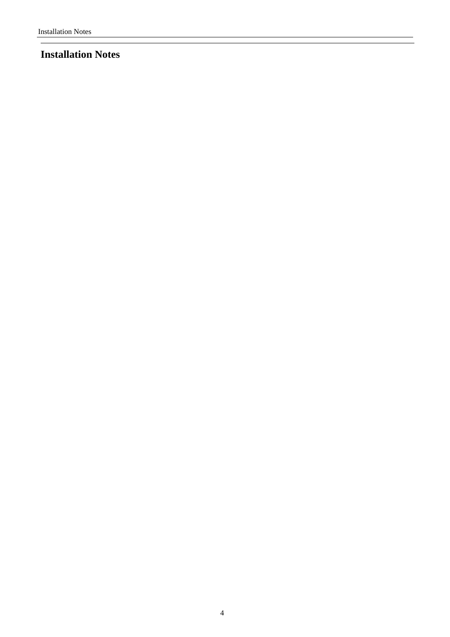## <span id="page-3-0"></span>**Installation Notes**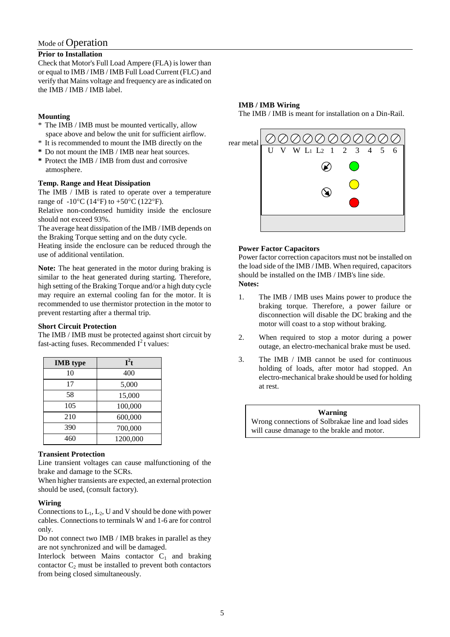#### Mode of [Operation](#page-5-1)

#### **Prior to Installation**

Check that Motor's Full Load Ampere (FLA) is lower than or equal to IMB / IMB / IMB Full Load Current (FLC) and verify that Mains voltage and frequency are as indicated on the IMB / IMB / IMB label.

#### **Mounting**

- \* The IMB / IMB must be mounted vertically, allow space above and below the unit for sufficient airflow.
- \* It is recommended to mount the IMB directly on the rear metal
- **\*** Do not mount the IMB / IMB near heat sources.
- **\*** Protect the IMB / IMB from dust and corrosive atmosphere.

#### **Temp. Range and Heat Dissipation**

The IMB / IMB is rated to operate over a temperature range of  $-10^{\circ}C$  (14 $^{\circ}F$ ) to  $+50^{\circ}C$  (122 $^{\circ}F$ ).

Relative non-condensed humidity inside the enclosure should not exceed 93%.

The average heat dissipation of the IMB / IMB depends on the Braking Torque setting and on the duty cycle.

Heating inside the enclosure can be reduced through the use of additional ventilation.

**Note:** The heat generated in the motor during braking is similar to the heat generated during starting. Therefore, high setting of the Braking Torque and/or a high duty cycle may require an external cooling fan for the motor. It is recommended to use thermistor protection in the motor to prevent restarting after a thermal trip.

#### **Short Circuit Protection**

| <b>IMB</b> type | $I^2t$   |
|-----------------|----------|
| 10              | 400      |
| 17              | 5,000    |
| 58              | 15,000   |
| 105             | 100,000  |
| 210             | 600,000  |
| 390             | 700,000  |
| 460             | 1200,000 |

The IMB / IMB must be protected against short circuit by fast-acting fuses. Recommended  $I^2$ t values:

#### **Transient Protection**

Line transient voltages can cause malfunctioning of the brake and damage to the SCRs.

When higher transients are expected, an external protection should be used, (consult factory).

#### **Wiring**

Connections to  $L_1, L_2, U$  and V should be done with power cables. Connections to terminals W and 1-6 are for control only.

Do not connect two IMB / IMB brakes in parallel as they are not synchronized and will be damaged.

Interlock between Mains contactor  $C_1$  and braking contactor  $C_2$  must be installed to prevent both contactors from being closed simultaneously.

#### **IMB / IMB Wiring**

The IMB / IMB is meant for installation on a Din-Rail.



#### **Power Factor Capacitors**

Power factor correction capacitors must not be installed on the load side of the IMB / IMB. When required, capacitors should be installed on the IMB / IMB's line side. **Notes:**

- 1. The IMB / IMB uses Mains power to produce the braking torque. Therefore, a power failure or disconnection will disable the DC braking and the motor will coast to a stop without braking.
- 2. When required to stop a motor during a power outage, an electro-mechanical brake must be used.
- 3. The IMB / IMB cannot be used for continuous holding of loads, after motor had stopped. An electro-mechanical brake should be used for holding at rest.

#### **Warning**

Wrong connections of Solbrakae line and load sides will cause dmanage to the brakle and motor.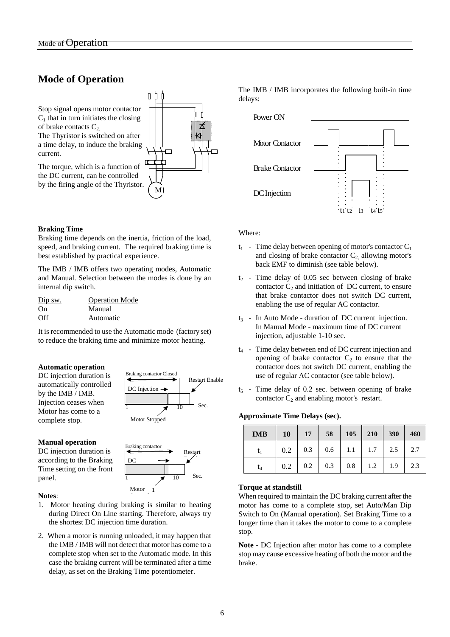## <span id="page-5-1"></span><span id="page-5-0"></span>**Mode of Operation**

Stop signal opens motor contactor  $C_1$  that in turn initiates the closing of brake contacts  $C_2$ .

The Thyristor is switched on after a time delay, to induce the braking current.

The torque, which is a function of the DC current, can be controlled by the firing angle of the Thyristor.

#### **Braking Time**

Braking time depends on the inertia, friction of the load, speed, and braking current. The required braking time is best established by practical experience.

M

n

The IMB / IMB offers two operating modes, Automatic and Manual. Selection between the modes is done by an internal dip switch.

| Dip sw. | <b>Operation Mode</b> |
|---------|-----------------------|
| On      | Manual                |
| Off     | Automatic             |

It is recommended to use the Automatic mode (factory set) to reduce the braking time and minimize motor heating.

#### **Automatic operation**

DC injection duration is automatically controlled by the IMB / IMB. Injection ceases when Motor has come to a complete stop.



#### **Manual operation**

DC injection duration is according to the Braking Time setting on the front panel.



#### **Notes**:

- 1. Motor heating during braking is similar to heating during Direct On Line starting. Therefore, always try the shortest DC injection time duration.
- 2. When a motor is running unloaded, it may happen that the IMB / IMB will not detect that motor has come to a complete stop when set to the Automatic mode. In this case the braking current will be terminated after a time delay, as set on the Braking Time potentiometer.

The IMB / IMB incorporates the following built-in time delays:



#### Where:

- $t_1$  Time delay between opening of motor's contactor  $C_1$ and closing of brake contactor  $C_2$  allowing motor's back EMF to diminish (see table below).
- $t_2$  Time delay of 0.05 sec between closing of brake contactor  $C_2$  and initiation of DC current, to ensure that brake contactor does not switch DC current, enabling the use of regular AC contactor.
- $t_3$  In Auto Mode duration of DC current injection. In Manual Mode - maximum time of DC current injection, adjustable 1-10 sec.
- $t_4$  Time delay between end of DC current injection and opening of brake contactor  $C_2$  to ensure that the contactor does not switch DC current, enabling the use of regular AC contactor (see table below).
- $t_5$  Time delay of 0.2 sec. between opening of brake contactor  $C_2$  and enabling motor's restart.

#### **Approximate Time Delays (sec).**

| <b>IMB</b>     | <b>10</b> | $\sqrt{17}$   | 58                                        | 105   210   390                                                                 | $\vert$ 460 |
|----------------|-----------|---------------|-------------------------------------------|---------------------------------------------------------------------------------|-------------|
| $t_1$          |           |               | $0.2$   0.3   0.6   1.1   1.7   2.5   2.7 |                                                                                 |             |
| t <sub>4</sub> |           | $0.2$ 0.2 0.3 |                                           | $\begin{array}{ c c c c c c c c } \hline 0.8 & 1.2 & 1.9 \\ \hline \end{array}$ | 2.3         |

#### **Torque at standstill**

When required to maintain the DC braking current after the motor has come to a complete stop, set Auto/Man Dip Switch to On (Manual operation). Set Braking Time to a longer time than it takes the motor to come to a complete stop.

**Note** - DC Injection after motor has come to a complete stop may cause excessive heating of both the motor and the brake.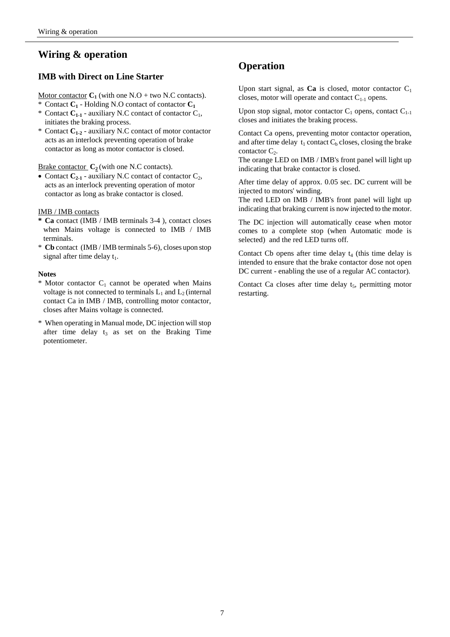## <span id="page-6-0"></span>**Wiring & operation**

#### **IMB with Direct on Line Starter**

Motor contactor  $C_1$  (with one N.O + two N.C contacts).

- \* Contact **C<sup>1</sup>** Holding N.O contact of contactor **C<sup>1</sup>**
- \* Contact  $C_{1-1}$  auxiliary N.C contact of contactor  $C_1$ , initiates the braking process.
- \* Contact **C1-2** auxiliary N.C contact of motor contactor acts as an interlock preventing operation of brake contactor as long as motor contactor is closed.

Brake contactor  $C_2$  (with one N.C contacts).

• Contact  $C_{2-1}$  - auxiliary N.C contact of contactor  $C_2$ , acts as an interlock preventing operation of motor contactor as long as brake contactor is closed.

#### IMB / IMB contacts

- **\* Ca** contact (IMB / IMB terminals 3-4 ), contact closes when Mains voltage is connected to IMB / IMB terminals.
- \* **Cb** contact (IMB / IMB terminals 5-6), closes upon stop signal after time delay  $t_1$ .

#### **Notes**

- $*$  Motor contactor  $C_1$  cannot be operated when Mains voltage is not connected to terminals  $L_1$  and  $L_2$  (internal contact Ca in IMB / IMB, controlling motor contactor, closes after Mains voltage is connected.
- \* When operating in Manual mode, DC injection will stop after time delay  $t_3$  as set on the Braking Time potentiometer.

## **Operation**

Upon start signal, as  $Ca$  is closed, motor contactor  $C_1$ closes, motor will operate and contact  $C_{1-1}$  opens.

Upon stop signal, motor contactor  $C_1$  opens, contact  $C_{1-1}$ closes and initiates the braking process.

Contact Ca opens, preventing motor contactor operation, and after time delay  $t_1$  contact  $C_b$  closes, closing the brake contactor  $C_2$ .

The orange LED on IMB / IMB's front panel will light up indicating that brake contactor is closed.

After time delay of approx. 0.05 sec. DC current will be injected to motors' winding.

The red LED on IMB / IMB's front panel will light up indicating that braking current is now injected to the motor.

The DC injection will automatically cease when motor comes to a complete stop (when Automatic mode is selected) and the red LED turns off.

Contact Cb opens after time delay  $t_4$  (this time delay is intended to ensure that the brake contactor dose not open DC current - enabling the use of a regular AC contactor).

Contact Ca closes after time delay  $t_5$ , permitting motor restarting.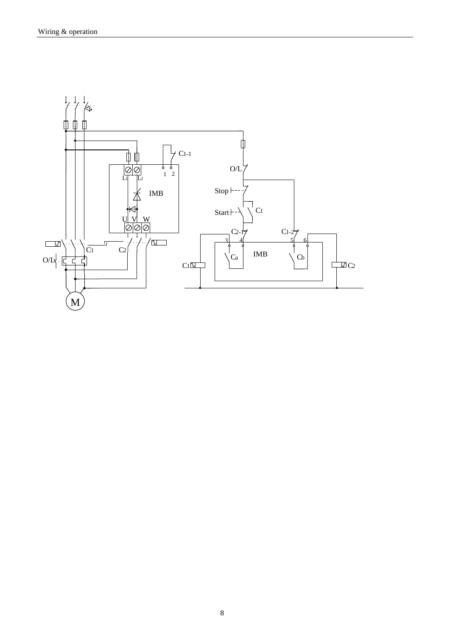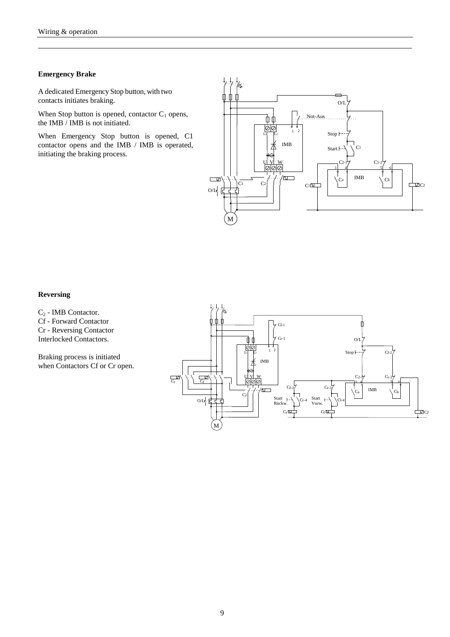#### **Emergency Brake**

A dedicated Emergency Stop button, with two contacts initiates braking.

When Stop button is opened, contactor  $C_1$  opens, the IMB / IMB is not initiated.

When Emergency Stop button is opened, C1 contactor opens and the IMB / IMB is operated, initiating the braking process.



#### **Reversing**

C<sub>2</sub> - IMB Contactor. Cf - Forward Contactor Cr - Reversing Contactor Interlocked Contactors.

Braking process is initiated when Contactors Cf or Cr open.

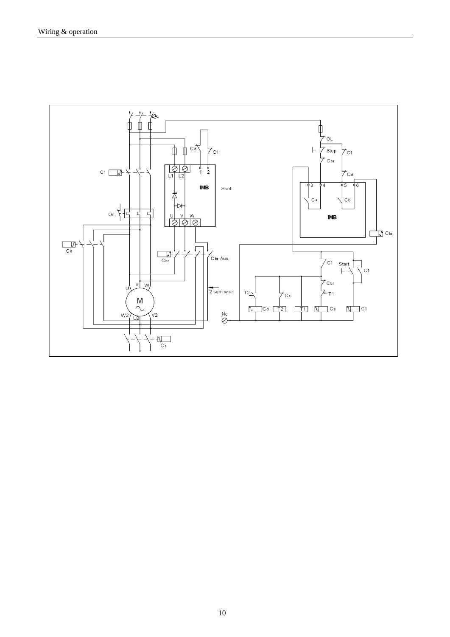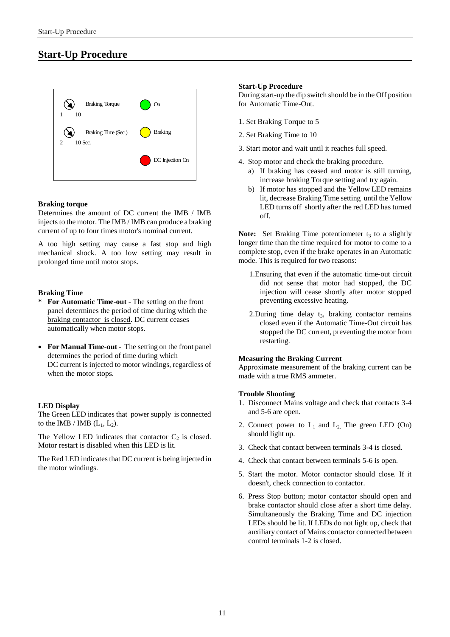## <span id="page-10-0"></span>**Start-Up Procedure**



#### **Braking torque**

Determines the amount of DC current the IMB / IMB injects to the motor. The IMB / IMB can produce a braking current of up to four times motor's nominal current.

A too high setting may cause a fast stop and high mechanical shock. A too low setting may result in prolonged time until motor stops.

#### **Braking Time**

- **\* For Automatic Time-out** The setting on the front panel determines the period of time during which the braking contactor is closed. DC current ceases automatically when motor stops.
- **For Manual Time-out** The setting on the front panel determines the period of time during which DC current is injected to motor windings, regardless of when the motor stops.

#### **LED Display**

The Green LED indicates that power supply is connected to the IMB / IMB  $(L_1, L_2)$ .

The Yellow LED indicates that contactor  $C_2$  is closed. Motor restart is disabled when this LED is lit.

The Red LED indicates that DC current is being injected in the motor windings.

#### **Start-Up Procedure**

During start-up the dip switch should be in the Off position for Automatic Time-Out.

- 1. Set Braking Torque to 5
- 2. Set Braking Time to 10
- 3. Start motor and wait until it reaches full speed.
- 4. Stop motor and check the braking procedure.
	- a) If braking has ceased and motor is still turning, increase braking Torque setting and try again.
	- b) If motor has stopped and the Yellow LED remains lit, decrease Braking Time setting until the Yellow LED turns off shortly after the red LED has turned off.

**Note:** Set Braking Time potentiometer  $t_3$  to a slightly longer time than the time required for motor to come to a complete stop, even if the brake operates in an Automatic mode. This is required for two reasons:

- 1.Ensuring that even if the automatic time-out circuit did not sense that motor had stopped, the DC injection will cease shortly after motor stopped preventing excessive heating.
- 2. During time delay  $t_3$ , braking contactor remains closed even if the Automatic Time-Out circuit has stopped the DC current, preventing the motor from restarting.

#### **Measuring the Braking Current**

Approximate measurement of the braking current can be made with a true RMS ammeter.

#### **Trouble Shooting**

- 1. Disconnect Mains voltage and check that contacts 3-4 and 5-6 are open.
- 2. Connect power to  $L_1$  and  $L_2$ . The green LED (On) should light up.
- 3. Check that contact between terminals 3-4 is closed.
- 4. Check that contact between terminals 5-6 is open.
- 5. Start the motor. Motor contactor should close. If it doesn't, check connection to contactor.
- 6. Press Stop button; motor contactor should open and brake contactor should close after a short time delay. Simultaneously the Braking Time and DC injection LEDs should be lit. If LEDs do not light up, check that auxiliary contact of Mains contactor connected between control terminals 1-2 is closed.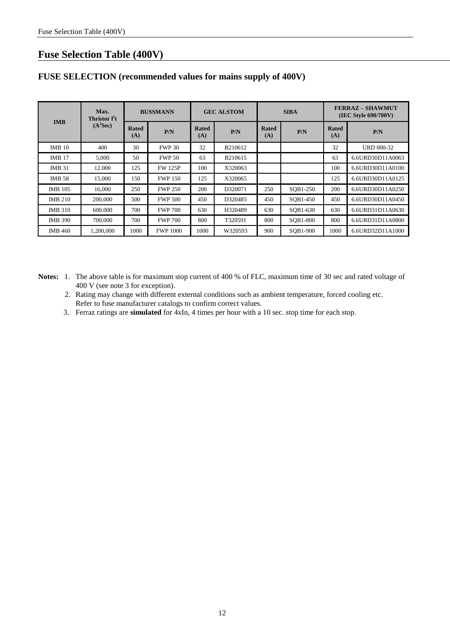## <span id="page-11-0"></span>**Fuse Selection Table (400V)**

|                | Max.<br>Thristor <sup>12</sup> t |                     | <b>BUSSMANN</b> |                     | <b>SIBA</b><br><b>GEC ALSTOM</b> |                     |          | <b>FERRAZ - SHAWMUT</b><br>(IEC Style 690/700V) |                   |
|----------------|----------------------------------|---------------------|-----------------|---------------------|----------------------------------|---------------------|----------|-------------------------------------------------|-------------------|
| <b>IMB</b>     | $(A^2$ Sec $)$                   | <b>Rated</b><br>(A) | P/N             | <b>Rated</b><br>(A) | P/N                              | <b>Rated</b><br>(A) | P/N      | <b>Rated</b><br>(A)                             | P/N               |
| IMB $10$       | 400                              | 30                  | <b>FWP 30</b>   | 32                  | B210612                          |                     |          | 32                                              | <b>URD 000-32</b> |
| <b>IMB 17</b>  | 5.000                            | 50                  | <b>FWP 50</b>   | 63                  | B210615                          |                     |          | 63                                              | 6.6URD30D11A0063  |
| <b>IMB 31</b>  | 12.000                           | 125                 | <b>FW 125P</b>  | 100                 | X320063                          |                     |          | 100                                             | 6.6URD30D11A0100  |
| IMB 58         | 15,000                           | 150                 | <b>FWP 150</b>  | 125                 | X320065                          |                     |          | 125                                             | 6.6URD30D11A0125  |
| IMB 105        | 16.000                           | 250                 | <b>FWP 250</b>  | 200                 | D320071                          | 250                 | SQB1-250 | 200                                             | 6.6URD30D11A0250  |
| IMB 210        | 200,000                          | 500                 | <b>FWP 500</b>  | 450                 | D320485                          | 450                 | SOB1-450 | 450                                             | 6.6URD30D11A0450  |
| <b>IMB 310</b> | 600.000                          | 700                 | <b>FWP 700</b>  | 630                 | H320489                          | 630                 | SQB1-630 | 630                                             | 6.6URD31D11A0630  |
| <b>IMB 390</b> | 700,000                          | 700                 | <b>FWP 700</b>  | 800                 | T320591                          | 800                 | SOB1-800 | 800                                             | 6.6URD31D11A0800  |
| IMB 460        | 1.200.000                        | 1000                | <b>FWP 1000</b> | 1000                | W320593                          | 900                 | SQB1-900 | 1000                                            | 6.6URD32D11A1000  |

### **FUSE SELECTION (recommended values for mains supply of 400V)**

**Notes:** 1. The above table is for maximum stop current of 400 % of FLC, maximum time of 30 sec and rated voltage of 400 V (see note 3 for exception).

2. Rating may change with different external conditions such as ambient temperature, forced cooling etc. Refer to fuse manufacturer catalogs to confirm correct values.

3. Ferraz ratings are **simulated** for 4xIn, 4 times per hour with a 10 sec. stop time for each stop.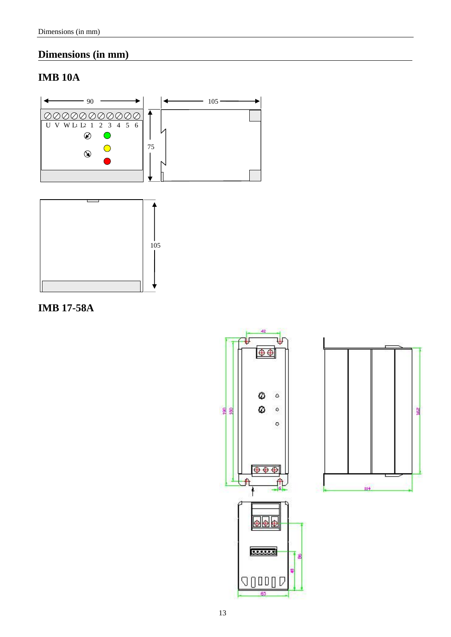## <span id="page-12-0"></span>**Dimensions (in mm)**

## **IMB 10A**





**IMB 17-58A**

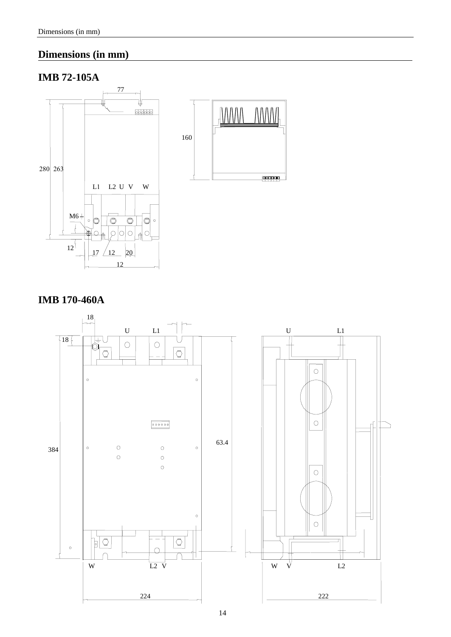## **Dimensions (in mm)**

## **IMB 72-105A**





## **IMB 170-460A**

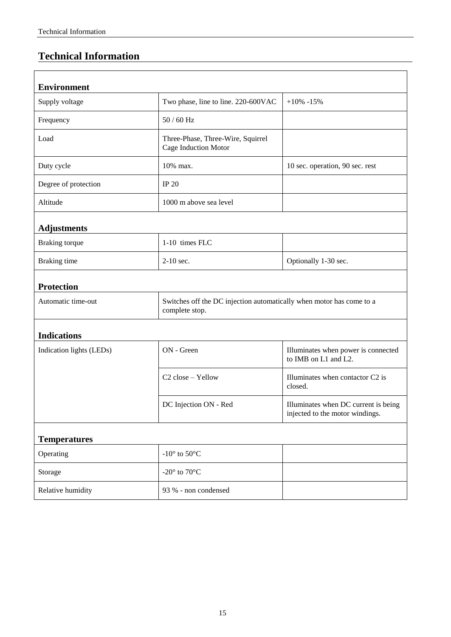## <span id="page-14-0"></span>**Technical Information**

| <b>Environment</b>       |                                                                                        |                                                                         |  |  |  |
|--------------------------|----------------------------------------------------------------------------------------|-------------------------------------------------------------------------|--|--|--|
| Supply voltage           | Two phase, line to line. 220-600VAC                                                    | $+10\% -15\%$                                                           |  |  |  |
| Frequency                | 50 / 60 Hz                                                                             |                                                                         |  |  |  |
| Load                     | Three-Phase, Three-Wire, Squirrel<br>Cage Induction Motor                              |                                                                         |  |  |  |
| Duty cycle               | 10% max.                                                                               | 10 sec. operation, 90 sec. rest                                         |  |  |  |
| Degree of protection     | IP 20                                                                                  |                                                                         |  |  |  |
| Altitude                 | 1000 m above sea level                                                                 |                                                                         |  |  |  |
| <b>Adjustments</b>       |                                                                                        |                                                                         |  |  |  |
| <b>Braking</b> torque    | 1-10 times FLC                                                                         |                                                                         |  |  |  |
| Braking time             | 2-10 sec.<br>Optionally 1-30 sec.                                                      |                                                                         |  |  |  |
| <b>Protection</b>        |                                                                                        |                                                                         |  |  |  |
| Automatic time-out       | Switches off the DC injection automatically when motor has come to a<br>complete stop. |                                                                         |  |  |  |
| <b>Indications</b>       |                                                                                        |                                                                         |  |  |  |
| Indication lights (LEDs) | ON - Green                                                                             | Illuminates when power is connected<br>to IMB on L1 and L2.             |  |  |  |
|                          | C <sub>2</sub> close - Yellow                                                          | Illuminates when contactor C2 is<br>closed.                             |  |  |  |
|                          | DC Injection ON - Red                                                                  | Illuminates when DC current is being<br>injected to the motor windings. |  |  |  |
| <b>Temperatures</b>      |                                                                                        |                                                                         |  |  |  |
| Operating                | -10 $^{\circ}$ to 50 $^{\circ}$ C                                                      |                                                                         |  |  |  |
| Storage                  | -20 $^{\circ}$ to 70 $^{\circ}$ C                                                      |                                                                         |  |  |  |
| Relative humidity        | 93 % - non condensed                                                                   |                                                                         |  |  |  |

 $\overline{\phantom{a}}$